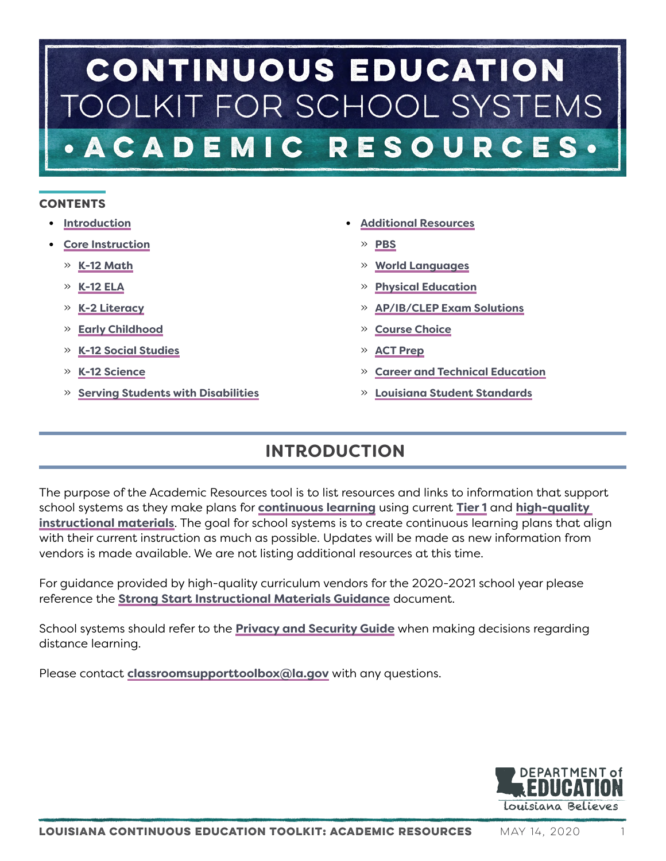# CONTINUOUS EDUCATION OLKIT FOR SCHOOL SYSTEMS ACADEMIC RESOURCES.

# **CONTENTS**

- **• [Introduction](#page-0-0)**
- **• [Core Instruction](#page-1-0)**
	- » **[K-12 Math](#page-2-0)**
	- » **[K-12 ELA](#page-3-0)**
	- » **[K-2 Literacy](#page-3-1)**
	- » **[Early Childhood](#page-4-0)**
	- » **[K-12 Social Studies](#page-7-0)**
	- » **[K-12 Science](#page-7-1)**
	- » **[Serving Students with Disabilities](#page-8-0)**
- **• [Additional Resources](#page-9-0)**
	- » **[PBS](#page-9-1)**
	- » **[World Languages](#page-9-2)**
	- » **[Physical Education](#page-9-3)**
	- » **[AP/IB/CLEP Exam Solutions](#page-9-4)**
	- » **[Course Choice](#page-9-5)**
	- » **[ACT Prep](#page-9-6)**
	- » **[Career and Technical Education](#page-10-0)**
	- » **[Louisiana Student Standards](#page-15-0)**

# <span id="page-0-0"></span>**INTRODUCTION**

The purpose of the Academic Resources tool is to list resources and links to information that support school systems as they make plans for **[continuous learning](https://www.louisianabelieves.com/docs/default-source/covid-19-resources/louisiana-continuous-education-toolkit---guidance-and-tools.pdf)** using current **[Tier 1](https://www.louisianabelieves.com/academics/ONLINE-INSTRUCTIONAL-MATERIALS-REVIEWS/curricular-resources-annotated-reviews)** and **[high-quality](https://www.louisianabelieves.com/academics/ONLINE-INSTRUCTIONAL-MATERIALS-REVIEWS/curricular-resources-annotated-reviews)  [instructional materials](https://www.louisianabelieves.com/academics/ONLINE-INSTRUCTIONAL-MATERIALS-REVIEWS/curricular-resources-annotated-reviews)**. The goal for school systems is to create continuous learning plans that align with their current instruction as much as possible. Updates will be made as new information from vendors is made available. We are not listing additional resources at this time.

For guidance provided by high-quality curriculum vendors for the 2020-2021 school year please reference the **[Strong Start Instructional Materials Guidance](https://www.louisianabelieves.com/docs/default-source/strong-start-2020/instructional-materials-guidance.pdf)** document.

School systems should refer to the **[Privacy and Security Guide](https://www.louisianabelieves.com/docs/default-source/covid-19-resources/privacy-and-security-for-distance-learning.pdf)** when making decisions regarding distance learning.

Please contact **[classroomsupporttoolbox@la.gov](mailto:classroomsupporttoolbox@la.gov)** with any questions.

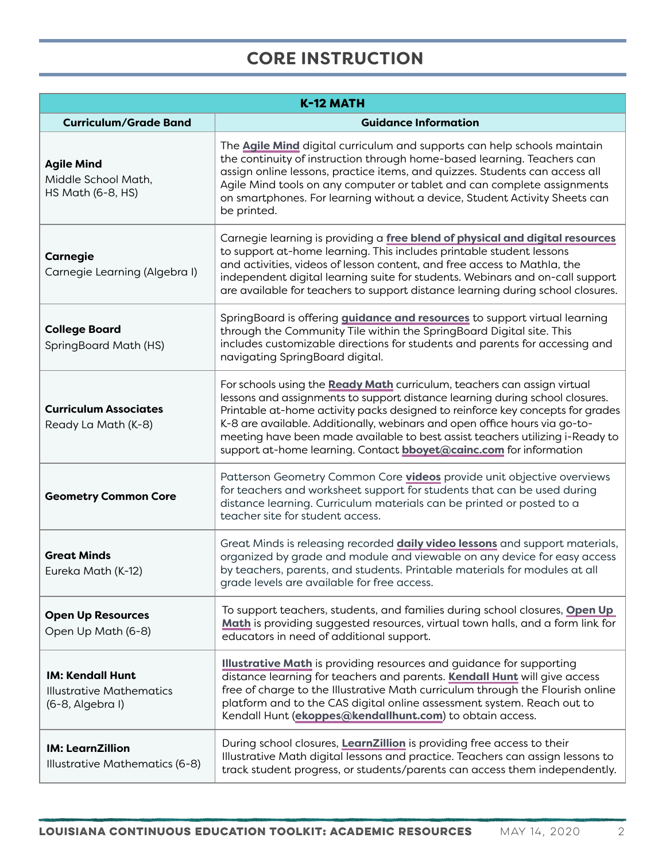# <span id="page-1-0"></span>**CORE INSTRUCTION**

| K-12 MATH                                                                      |                                                                                                                                                                                                                                                                                                                                                                                                                                                                                        |
|--------------------------------------------------------------------------------|----------------------------------------------------------------------------------------------------------------------------------------------------------------------------------------------------------------------------------------------------------------------------------------------------------------------------------------------------------------------------------------------------------------------------------------------------------------------------------------|
| <b>Curriculum/Grade Band</b>                                                   | <b>Guidance Information</b>                                                                                                                                                                                                                                                                                                                                                                                                                                                            |
| <b>Agile Mind</b><br>Middle School Math,<br>HS Math (6-8, HS)                  | The <b>Agile Mind</b> digital curriculum and supports can help schools maintain<br>the continuity of instruction through home-based learning. Teachers can<br>assign online lessons, practice items, and quizzes. Students can access all<br>Agile Mind tools on any computer or tablet and can complete assignments<br>on smartphones. For learning without a device, Student Activity Sheets can<br>be printed.                                                                      |
| <b>Carnegie</b><br>Carnegie Learning (Algebra I)                               | Carnegie learning is providing a free blend of physical and digital resources<br>to support at-home learning. This includes printable student lessons<br>and activities, videos of lesson content, and free access to Mathla, the<br>independent digital learning suite for students. Webinars and on-call support<br>are available for teachers to support distance learning during school closures.                                                                                  |
| <b>College Board</b><br>SpringBoard Math (HS)                                  | SpringBoard is offering <i>guidance and resources</i> to support virtual learning<br>through the Community Tile within the SpringBoard Digital site. This<br>includes customizable directions for students and parents for accessing and<br>navigating SpringBoard digital.                                                                                                                                                                                                            |
| <b>Curriculum Associates</b><br>Ready La Math (K-8)                            | For schools using the Ready Math curriculum, teachers can assign virtual<br>lessons and assignments to support distance learning during school closures.<br>Printable at-home activity packs designed to reinforce key concepts for grades<br>K-8 are available. Additionally, webinars and open office hours via go-to-<br>meeting have been made available to best assist teachers utilizing i-Ready to<br>support at-home learning. Contact <b>bboyet@cainc.com</b> for information |
| <b>Geometry Common Core</b>                                                    | Patterson Geometry Common Core videos provide unit objective overviews<br>for teachers and worksheet support for students that can be used during<br>distance learning. Curriculum materials can be printed or posted to a<br>teacher site for student access.                                                                                                                                                                                                                         |
| <b>Great Minds</b><br>Eureka Math (K-12)                                       | Great Minds is releasing recorded <i>daily video lessons</i> and support materials,<br>organized by grade and module and viewable on any device for easy access<br>by teachers, parents, and students. Printable materials for modules at all<br>grade levels are available for free access.                                                                                                                                                                                           |
| <b>Open Up Resources</b><br>Open Up Math (6-8)                                 | To support teachers, students, and families during school closures, Open Up<br>Math is providing suggested resources, virtual town halls, and a form link for<br>educators in need of additional support.                                                                                                                                                                                                                                                                              |
| <b>IM: Kendall Hunt</b><br><b>Illustrative Mathematics</b><br>(6-8, Algebra I) | <b>Illustrative Math</b> is providing resources and guidance for supporting<br>distance learning for teachers and parents. Kendall Hunt will give access<br>free of charge to the Illustrative Math curriculum through the Flourish online<br>platform and to the CAS digital online assessment system. Reach out to<br>Kendall Hunt (ekoppes@kendallhunt.com) to obtain access.                                                                                                       |
| <b>IM: LearnZillion</b><br>Illustrative Mathematics (6-8)                      | During school closures, LearnZillion is providing free access to their<br>Illustrative Math digital lessons and practice. Teachers can assign lessons to<br>track student progress, or students/parents can access them independently.                                                                                                                                                                                                                                                 |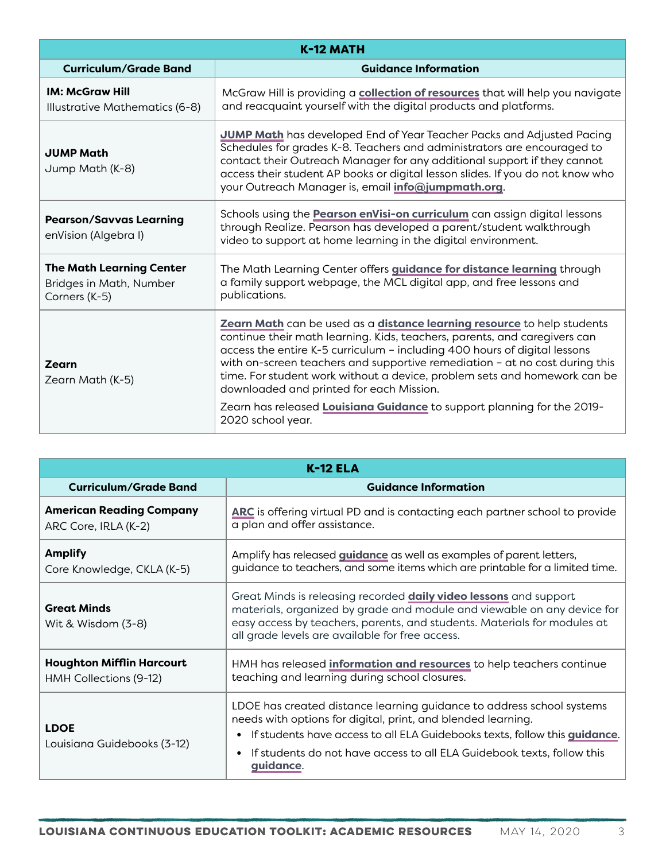<span id="page-2-0"></span>

| K-12 MATH                                                                   |                                                                                                                                                                                                                                                                                                                                                                                                                                                                                                                                           |
|-----------------------------------------------------------------------------|-------------------------------------------------------------------------------------------------------------------------------------------------------------------------------------------------------------------------------------------------------------------------------------------------------------------------------------------------------------------------------------------------------------------------------------------------------------------------------------------------------------------------------------------|
| <b>Curriculum/Grade Band</b>                                                | <b>Guidance Information</b>                                                                                                                                                                                                                                                                                                                                                                                                                                                                                                               |
| <b>IM: McGraw Hill</b><br>Illustrative Mathematics (6-8)                    | McGraw Hill is providing a collection of resources that will help you navigate<br>and reacquaint yourself with the digital products and platforms.                                                                                                                                                                                                                                                                                                                                                                                        |
| <b>JUMP Math</b><br>Jump Math (K-8)                                         | <b>JUMP Math</b> has developed End of Year Teacher Packs and Adjusted Pacing<br>Schedules for grades K-8. Teachers and administrators are encouraged to<br>contact their Outreach Manager for any additional support if they cannot<br>access their student AP books or digital lesson slides. If you do not know who<br>your Outreach Manager is, email <i>info@jumpmath.org</i> .                                                                                                                                                       |
| <b>Pearson/Savvas Learning</b><br>enVision (Algebra I)                      | Schools using the <b>Pearson enVisi-on curriculum</b> can assign digital lessons<br>through Realize. Pearson has developed a parent/student walkthrough<br>video to support at home learning in the digital environment.                                                                                                                                                                                                                                                                                                                  |
| <b>The Math Learning Center</b><br>Bridges in Math, Number<br>Corners (K-5) | The Math Learning Center offers guidance for distance learning through<br>a family support webpage, the MCL digital app, and free lessons and<br>publications.                                                                                                                                                                                                                                                                                                                                                                            |
| Zearn<br>Zearn Math (K-5)                                                   | Zearn Math can be used as a distance learning resource to help students<br>continue their math learning. Kids, teachers, parents, and caregivers can<br>access the entire K-5 curriculum - including 400 hours of digital lessons<br>with on-screen teachers and supportive remediation - at no cost during this<br>time. For student work without a device, problem sets and homework can be<br>downloaded and printed for each Mission.<br>Zearn has released Louisiana Guidance to support planning for the 2019-<br>2020 school year. |
|                                                                             |                                                                                                                                                                                                                                                                                                                                                                                                                                                                                                                                           |

| <b>K-12 ELA</b>                                            |                                                                                                                                                                                                                                                                                                                                   |
|------------------------------------------------------------|-----------------------------------------------------------------------------------------------------------------------------------------------------------------------------------------------------------------------------------------------------------------------------------------------------------------------------------|
| <b>Curriculum/Grade Band</b>                               | <b>Guidance Information</b>                                                                                                                                                                                                                                                                                                       |
| <b>American Reading Company</b><br>ARC Core, IRLA (K-2)    | ARC is offering virtual PD and is contacting each partner school to provide<br>a plan and offer assistance.                                                                                                                                                                                                                       |
| <b>Amplify</b><br>Core Knowledge, CKLA (K-5)               | Amplify has released <i>guidance</i> as well as examples of parent letters,<br>guidance to teachers, and some items which are printable for a limited time.                                                                                                                                                                       |
| <b>Great Minds</b><br>Wit & Wisdom (3-8)                   | Great Minds is releasing recorded <b>daily video lessons</b> and support<br>materials, organized by grade and module and viewable on any device for<br>easy access by teachers, parents, and students. Materials for modules at<br>all grade levels are available for free access.                                                |
| <b>Houghton Mifflin Harcourt</b><br>HMH Collections (9-12) | HMH has released information and resources to help teachers continue<br>teaching and learning during school closures.                                                                                                                                                                                                             |
| <b>LDOE</b><br>Louisiana Guidebooks (3-12)                 | LDOE has created distance learning guidance to address school systems<br>needs with options for digital, print, and blended learning.<br>• If students have access to all ELA Guidebooks texts, follow this <i>quidance</i> .<br>If students do not have access to all ELA Guidebook texts, follow this<br>$\bullet$<br>guidance. |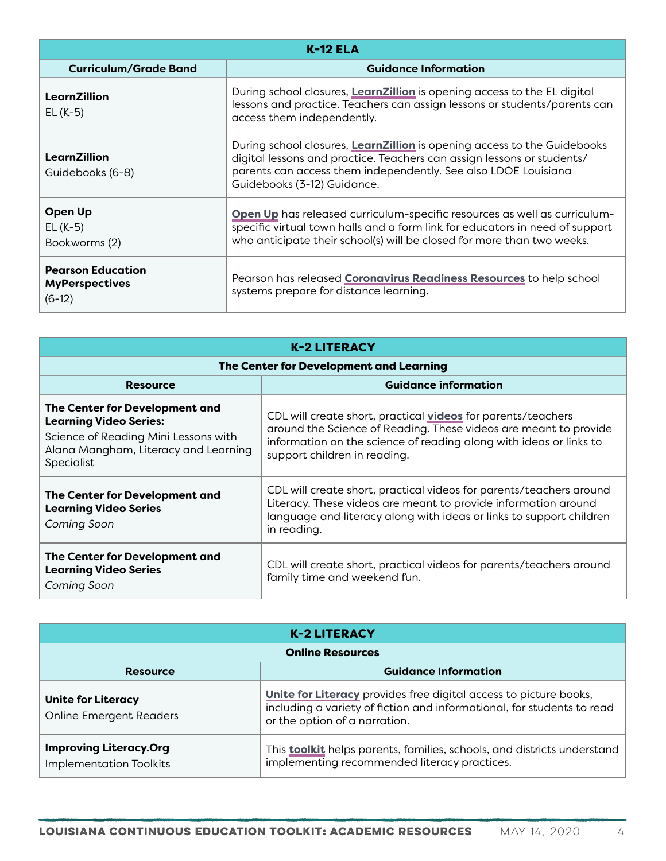<span id="page-3-0"></span>

| <b>K-12 ELA</b>                                               |                                                                                                                                                                                                                                                     |
|---------------------------------------------------------------|-----------------------------------------------------------------------------------------------------------------------------------------------------------------------------------------------------------------------------------------------------|
| <b>Curriculum/Grade Band</b>                                  | <b>Guidance Information</b>                                                                                                                                                                                                                         |
| LearnZillion<br>$EL(K-5)$                                     | During school closures, LearnZillion is opening access to the EL digital<br>lessons and practice. Teachers can assign lessons or students/parents can<br>access them independently.                                                                 |
| LearnZillion<br>Guidebooks (6-8)                              | During school closures, LearnZillion is opening access to the Guidebooks<br>digital lessons and practice. Teachers can assign lessons or students/<br>parents can access them independently. See also LDOE Louisiana<br>Guidebooks (3-12) Guidance. |
| Open Up<br>$EL(K-5)$<br>Bookworms (2)                         | Open Up has released curriculum-specific resources as well as curriculum-<br>specific virtual town halls and a form link for educators in need of support<br>who anticipate their school(s) will be closed for more than two weeks.                 |
| <b>Pearson Education</b><br><b>MyPerspectives</b><br>$(6-12)$ | Pearson has released <b>Coronavirus Readiness Resources</b> to help school<br>systems prepare for distance learning.                                                                                                                                |

<span id="page-3-1"></span>

| <b>K-2 LITERACY</b>                                                                                                                                           |                                                                                                                                                                                                                                        |  |
|---------------------------------------------------------------------------------------------------------------------------------------------------------------|----------------------------------------------------------------------------------------------------------------------------------------------------------------------------------------------------------------------------------------|--|
|                                                                                                                                                               | The Center for Development and Learning                                                                                                                                                                                                |  |
| <b>Resource</b>                                                                                                                                               | <b>Guidance information</b>                                                                                                                                                                                                            |  |
| The Center for Development and<br><b>Learning Video Series:</b><br>Science of Reading Mini Lessons with<br>Alana Mangham, Literacy and Learning<br>Specialist | CDL will create short, practical videos for parents/teachers<br>around the Science of Reading. These videos are meant to provide<br>information on the science of reading along with ideas or links to<br>support children in reading. |  |
| The Center for Development and<br><b>Learning Video Series</b><br>Coming Soon                                                                                 | CDL will create short, practical videos for parents/teachers around<br>Literacy. These videos are meant to provide information around<br>language and literacy along with ideas or links to support children<br>in reading.            |  |
| The Center for Development and<br><b>Learning Video Series</b><br>Coming Soon                                                                                 | CDL will create short, practical videos for parents/teachers around<br>family time and weekend fun.                                                                                                                                    |  |

| <b>K-2 LITERACY</b>                                             |                                                                                                                                                                              |
|-----------------------------------------------------------------|------------------------------------------------------------------------------------------------------------------------------------------------------------------------------|
| <b>Online Resources</b>                                         |                                                                                                                                                                              |
| <b>Resource</b>                                                 | <b>Guidance Information</b>                                                                                                                                                  |
| <b>Unite for Literacy</b><br><b>Online Emergent Readers</b>     | Unite for Literacy provides free digital access to picture books,<br>including a variety of fiction and informational, for students to read<br>or the option of a narration. |
| <b>Improving Literacy.Org</b><br><b>Implementation Toolkits</b> | This <b>toolkit</b> helps parents, families, schools, and districts understand<br>implementing recommended literacy practices.                                               |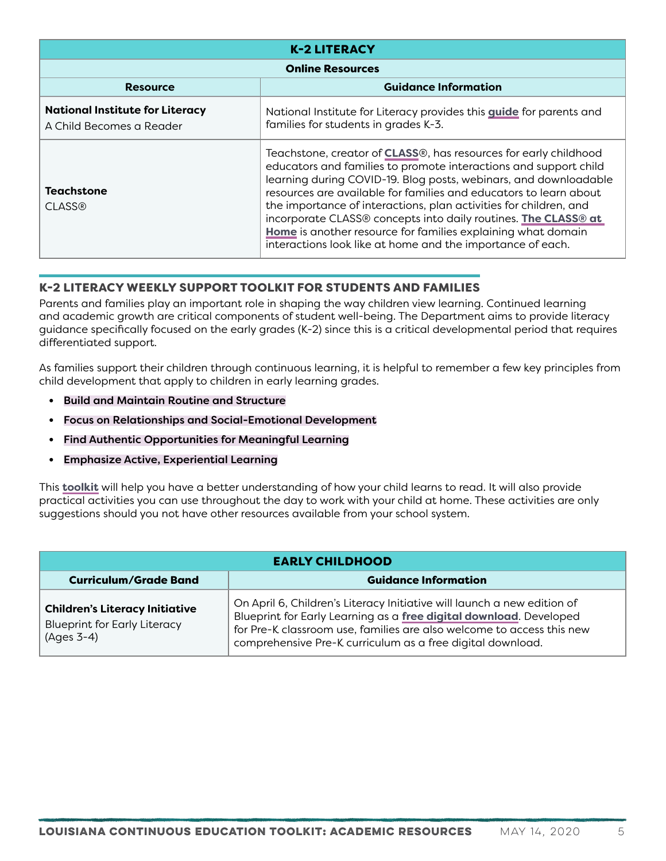| <b>K-2 LITERACY</b>                                                |                                                                                                                                                                                                                                                                                                                                                                                                                                                                                                                                                            |
|--------------------------------------------------------------------|------------------------------------------------------------------------------------------------------------------------------------------------------------------------------------------------------------------------------------------------------------------------------------------------------------------------------------------------------------------------------------------------------------------------------------------------------------------------------------------------------------------------------------------------------------|
| <b>Online Resources</b>                                            |                                                                                                                                                                                                                                                                                                                                                                                                                                                                                                                                                            |
| <b>Resource</b>                                                    | <b>Guidance Information</b>                                                                                                                                                                                                                                                                                                                                                                                                                                                                                                                                |
| <b>National Institute for Literacy</b><br>A Child Becomes a Reader | National Institute for Literacy provides this <i>guide</i> for parents and<br>families for students in grades K-3.                                                                                                                                                                                                                                                                                                                                                                                                                                         |
| Teachstone<br><b>CLASS®</b>                                        | Teachstone, creator of <b>CLASS</b> ®, has resources for early childhood<br>educators and families to promote interactions and support child<br>learning during COVID-19. Blog posts, webinars, and downloadable<br>resources are available for families and educators to learn about<br>the importance of interactions, plan activities for children, and<br>incorporate CLASS® concepts into daily routines. The CLASS® at<br>Home is another resource for families explaining what domain<br>interactions look like at home and the importance of each. |

# K-2 LITERACY WEEKLY SUPPORT TOOLKIT FOR STUDENTS AND FAMILIES

Parents and families play an important role in shaping the way children view learning. Continued learning and academic growth are critical components of student well-being. The Department aims to provide literacy guidance specifically focused on the early grades (K-2) since this is a critical developmental period that requires differentiated support.

As families support their children through continuous learning, it is helpful to remember a few key principles from child development that apply to children in early learning grades.

- **•** Build and Maintain Routine and Structure
- **•** Focus on Relationships and Social-Emotional Development
- **•** Find Authentic Opportunities for Meaningful Learning
- **•** Emphasize Active, Experiential Learning

This **[toolkit](https://www.louisianabelieves.com/docs/default-source/covid-19-resources/k-2-literacy-weekly-support.pdf)** will help you have a better understanding of how your child learns to read. It will also provide practical activities you can use throughout the day to work with your child at home. These activities are only suggestions should you not have other resources available from your school system.

<span id="page-4-0"></span>

| <b>EARLY CHILDHOOD</b>                                                                       |                                                                                                                                                                                                                                                                                      |
|----------------------------------------------------------------------------------------------|--------------------------------------------------------------------------------------------------------------------------------------------------------------------------------------------------------------------------------------------------------------------------------------|
| <b>Curriculum/Grade Band</b>                                                                 | <b>Guidance Information</b>                                                                                                                                                                                                                                                          |
| <b>Children's Literacy Initiative</b><br><b>Blueprint for Early Literacy</b><br>$(Ages 3-4)$ | On April 6, Children's Literacy Initiative will launch a new edition of<br>Blueprint for Early Learning as a free digital download. Developed<br>for Pre-K classroom use, families are also welcome to access this new<br>comprehensive Pre-K curriculum as a free digital download. |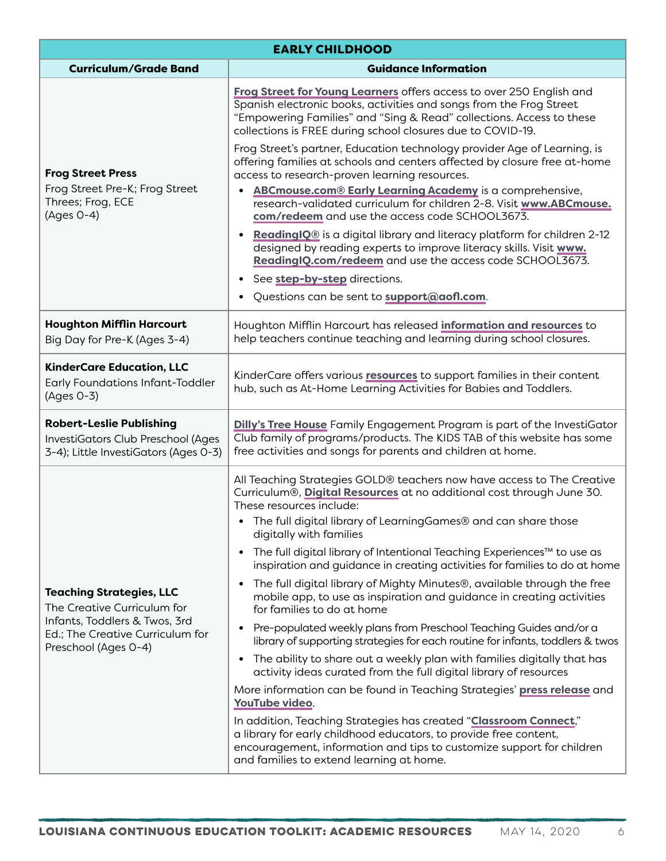| <b>EARLY CHILDHOOD</b>                                                                                                                                      |                                                                                                                                                                                                                                                                                                                                                                                                                                                                                                                                                                                                                                                                                                                                                                                                                                                                                                                                                                                                                                                                                                                                                                                                                                                                                           |
|-------------------------------------------------------------------------------------------------------------------------------------------------------------|-------------------------------------------------------------------------------------------------------------------------------------------------------------------------------------------------------------------------------------------------------------------------------------------------------------------------------------------------------------------------------------------------------------------------------------------------------------------------------------------------------------------------------------------------------------------------------------------------------------------------------------------------------------------------------------------------------------------------------------------------------------------------------------------------------------------------------------------------------------------------------------------------------------------------------------------------------------------------------------------------------------------------------------------------------------------------------------------------------------------------------------------------------------------------------------------------------------------------------------------------------------------------------------------|
| <b>Curriculum/Grade Band</b>                                                                                                                                | <b>Guidance Information</b>                                                                                                                                                                                                                                                                                                                                                                                                                                                                                                                                                                                                                                                                                                                                                                                                                                                                                                                                                                                                                                                                                                                                                                                                                                                               |
| <b>Frog Street Press</b><br>Frog Street Pre-K; Frog Street<br>Threes; Frog, ECE<br>$(Ages O-4)$                                                             | Frog Street for Young Learners offers access to over 250 English and<br>Spanish electronic books, activities and songs from the Frog Street<br>"Empowering Families" and "Sing & Read" collections. Access to these<br>collections is FREE during school closures due to COVID-19.                                                                                                                                                                                                                                                                                                                                                                                                                                                                                                                                                                                                                                                                                                                                                                                                                                                                                                                                                                                                        |
|                                                                                                                                                             | Frog Street's partner, Education technology provider Age of Learning, is<br>offering families at schools and centers affected by closure free at-home<br>access to research-proven learning resources.<br>ABCmouse.com® Early Learning Academy is a comprehensive,<br>$\bullet$<br>research-validated curriculum for children 2-8. Visit www.ABCmouse.<br>com/redeem and use the access code SCHOOL3673.<br>ReadingIQ® is a digital library and literacy platform for children 2-12<br>designed by reading experts to improve literacy skills. Visit www.<br>ReadingIQ.com/redeem and use the access code SCHOOL3673.<br>See step-by-step directions.<br>٠<br>Questions can be sent to support@aofl.com.                                                                                                                                                                                                                                                                                                                                                                                                                                                                                                                                                                                  |
| <b>Houghton Mifflin Harcourt</b><br>Big Day for Pre-K (Ages 3-4)                                                                                            | Houghton Mifflin Harcourt has released information and resources to<br>help teachers continue teaching and learning during school closures.                                                                                                                                                                                                                                                                                                                                                                                                                                                                                                                                                                                                                                                                                                                                                                                                                                                                                                                                                                                                                                                                                                                                               |
| <b>KinderCare Education, LLC</b><br>Early Foundations Infant-Toddler<br>(Ages 0-3)                                                                          | KinderCare offers various resources to support families in their content<br>hub, such as At-Home Learning Activities for Babies and Toddlers.                                                                                                                                                                                                                                                                                                                                                                                                                                                                                                                                                                                                                                                                                                                                                                                                                                                                                                                                                                                                                                                                                                                                             |
| <b>Robert-Leslie Publishing</b><br>InvestiGators Club Preschool (Ages<br>3-4); Little InvestiGators (Ages 0-3)                                              | Dilly's Tree House Family Engagement Program is part of the InvestiGator<br>Club family of programs/products. The KIDS TAB of this website has some<br>free activities and songs for parents and children at home.                                                                                                                                                                                                                                                                                                                                                                                                                                                                                                                                                                                                                                                                                                                                                                                                                                                                                                                                                                                                                                                                        |
| <b>Teaching Strategies, LLC</b><br>The Creative Curriculum for<br>Infants, Toddlers & Twos, 3rd<br>Ed.; The Creative Curriculum for<br>Preschool (Ages 0-4) | All Teaching Strategies GOLD® teachers now have access to The Creative<br>Curriculum®, Digital Resources at no additional cost through June 30.<br>These resources include:<br>• The full digital library of LearningGames® and can share those<br>digitally with families<br>The full digital library of Intentional Teaching Experiences™ to use as<br>inspiration and guidance in creating activities for families to do at home<br>The full digital library of Mighty Minutes®, available through the free<br>mobile app, to use as inspiration and guidance in creating activities<br>for families to do at home<br>Pre-populated weekly plans from Preschool Teaching Guides and/or a<br>library of supporting strategies for each routine for infants, toddlers & twos<br>The ability to share out a weekly plan with families digitally that has<br>activity ideas curated from the full digital library of resources<br>More information can be found in Teaching Strategies' press release and<br>YouTube video.<br>In addition, Teaching Strategies has created "Classroom Connect,"<br>a library for early childhood educators, to provide free content,<br>encouragement, information and tips to customize support for children<br>and families to extend learning at home. |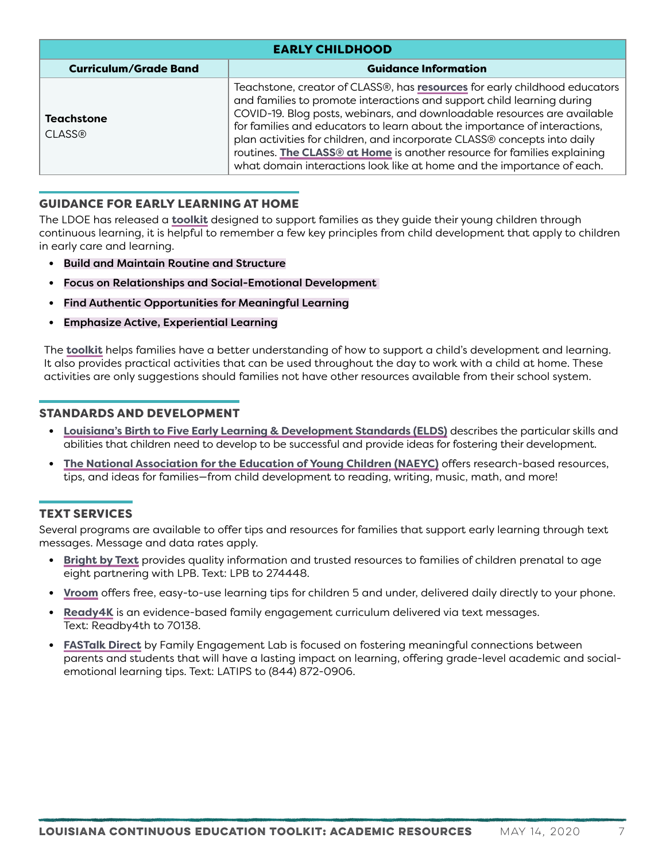| <b>EARLY CHILDHOOD</b>             |                                                                                                                                                                                                                                                                                                                                                                                                                                                                                                                                                        |
|------------------------------------|--------------------------------------------------------------------------------------------------------------------------------------------------------------------------------------------------------------------------------------------------------------------------------------------------------------------------------------------------------------------------------------------------------------------------------------------------------------------------------------------------------------------------------------------------------|
| <b>Curriculum/Grade Band</b>       | <b>Guidance Information</b>                                                                                                                                                                                                                                                                                                                                                                                                                                                                                                                            |
| <b>Teachstone</b><br><b>CLASS®</b> | Teachstone, creator of CLASS®, has <b>resources</b> for early childhood educators<br>and families to promote interactions and support child learning during<br>COVID-19. Blog posts, webinars, and downloadable resources are available<br>for families and educators to learn about the importance of interactions,<br>plan activities for children, and incorporate CLASS® concepts into daily<br>routines. The CLASS® at Home is another resource for families explaining<br>what domain interactions look like at home and the importance of each. |

### GUIDANCE FOR EARLY LEARNING AT HOME

The LDOE has released a **[toolkit](https://www.louisianabelieves.com/docs/default-source/covid-19-resources/louisiana-continuous-education-toolkit---guidance-for-early-learning-at-home.pdf)** designed to support families as they guide their young children through continuous learning, it is helpful to remember a few key principles from child development that apply to children in early care and learning.

- **•** Build and Maintain Routine and Structure
- **•** Focus on Relationships and Social-Emotional Development
- **•** Find Authentic Opportunities for Meaningful Learning
- **•** Emphasize Active, Experiential Learning

The **[toolkit](https://www.louisianabelieves.com/docs/default-source/covid-19-resources/louisiana-continuous-education-toolkit---guidance-for-early-learning-at-home.pdf)** helps families have a better understanding of how to support a child's development and learning. It also provides practical activities that can be used throughout the day to work with a child at home. These activities are only suggestions should families not have other resources available from their school system.

#### STANDARDS AND DEVELOPMENT

- **• [Louisiana's Birth to Five Early Learning & Development Standards \(ELDS\)](https://www.louisianabelieves.com/docs/default-source/academic-standards/early-childhood---birth-to-five-standards.pdf?sfvrsn=6)** describes the particular skills and abilities that children need to develop to be successful and provide ideas for fostering their development.
- **• [The National Association for the Education of Young Children \(NAEYC\)](https://www.naeyc.org/our-work/for-families)** offers research-based resources, tips, and ideas for families—from child development to reading, writing, music, math, and more!

#### TEXT SERVICES

Several programs are available to offer tips and resources for families that support early learning through text messages. Message and data rates apply.

- **• [Bright by Text](https://www.lpb.org/education/home/bbt)** provides quality information and trusted resources to families of children prenatal to age eight partnering with LPB. Text: LPB to 274448.
- **• [Vroom](https://www.vroom.org/)** offers free, easy-to-use learning tips for children 5 and under, delivered daily directly to your phone.
- **• [Ready4K](https://ready4k.parentpowered.com/)** is an evidence-based family engagement curriculum delivered via text messages. Text: Readby4th to 70138.
- **• [FASTalk Direct](http://www.familyengagementlab.org/)** by Family Engagement Lab is focused on fostering meaningful connections between parents and students that will have a lasting impact on learning, offering grade-level academic and socialemotional learning tips. Text: LATIPS to (844) 872-0906.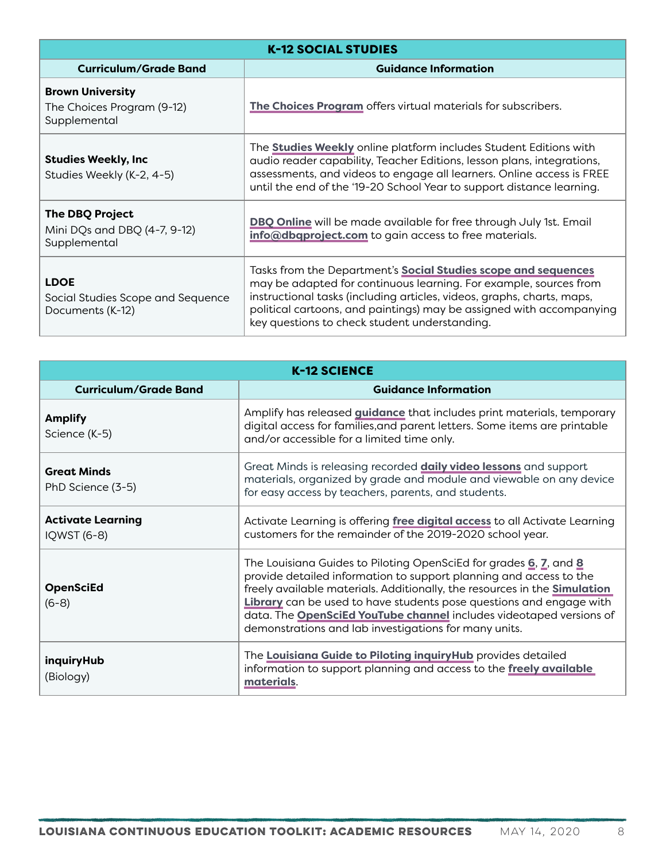<span id="page-7-0"></span>

| <b>K-12 SOCIAL STUDIES</b>                                             |                                                                                                                                                                                                                                                                                                                                               |
|------------------------------------------------------------------------|-----------------------------------------------------------------------------------------------------------------------------------------------------------------------------------------------------------------------------------------------------------------------------------------------------------------------------------------------|
| <b>Curriculum/Grade Band</b>                                           | <b>Guidance Information</b>                                                                                                                                                                                                                                                                                                                   |
| <b>Brown University</b><br>The Choices Program (9-12)<br>Supplemental  | The Choices Program offers virtual materials for subscribers.                                                                                                                                                                                                                                                                                 |
| <b>Studies Weekly, Inc</b><br>Studies Weekly (K-2, 4-5)                | The <b>Studies Weekly</b> online platform includes Student Editions with<br>audio reader capability, Teacher Editions, lesson plans, integrations,<br>assessments, and videos to engage all learners. Online access is FREE<br>until the end of the '19-20 School Year to support distance learning.                                          |
| <b>The DBQ Project</b><br>Mini DQs and DBQ (4-7, 9-12)<br>Supplemental | DBQ Online will be made available for free through July 1st. Email<br>info@dbqproject.com to gain access to free materials.                                                                                                                                                                                                                   |
| <b>LDOE</b><br>Social Studies Scope and Sequence<br>Documents (K-12)   | Tasks from the Department's <b>Social Studies scope and sequences</b><br>may be adapted for continuous learning. For example, sources from<br>instructional tasks (including articles, videos, graphs, charts, maps,<br>political cartoons, and paintings) may be assigned with accompanying<br>key questions to check student understanding. |

<span id="page-7-1"></span>

| <b>K-12 SCIENCE</b>                     |                                                                                                                                                                                                                                                                                                                                                                                                                                    |
|-----------------------------------------|------------------------------------------------------------------------------------------------------------------------------------------------------------------------------------------------------------------------------------------------------------------------------------------------------------------------------------------------------------------------------------------------------------------------------------|
| <b>Curriculum/Grade Band</b>            | <b>Guidance Information</b>                                                                                                                                                                                                                                                                                                                                                                                                        |
| <b>Amplify</b><br>Science (K-5)         | Amplify has released <i>guidance</i> that includes print materials, temporary<br>digital access for families, and parent letters. Some items are printable<br>and/or accessible for a limited time only.                                                                                                                                                                                                                           |
| <b>Great Minds</b><br>PhD Science (3-5) | Great Minds is releasing recorded <b>daily video lessons</b> and support<br>materials, organized by grade and module and viewable on any device<br>for easy access by teachers, parents, and students.                                                                                                                                                                                                                             |
| <b>Activate Learning</b><br>IQWST (6-8) | Activate Learning is offering free digital access to all Activate Learning<br>customers for the remainder of the 2019-2020 school year.                                                                                                                                                                                                                                                                                            |
| <b>OpenSciEd</b><br>$(6-8)$             | The Louisiana Guides to Piloting OpenSciEd for grades 6, 7, and 8<br>provide detailed information to support planning and access to the<br>freely available materials. Additionally, the resources in the <b>Simulation</b><br>Library can be used to have students pose questions and engage with<br>data. The OpenSciEd YouTube channel includes videotaped versions of<br>demonstrations and lab investigations for many units. |
| inquiryHub<br>(Biology)                 | The Louisiana Guide to Piloting inquiryHub provides detailed<br>information to support planning and access to the freely available<br>materials.                                                                                                                                                                                                                                                                                   |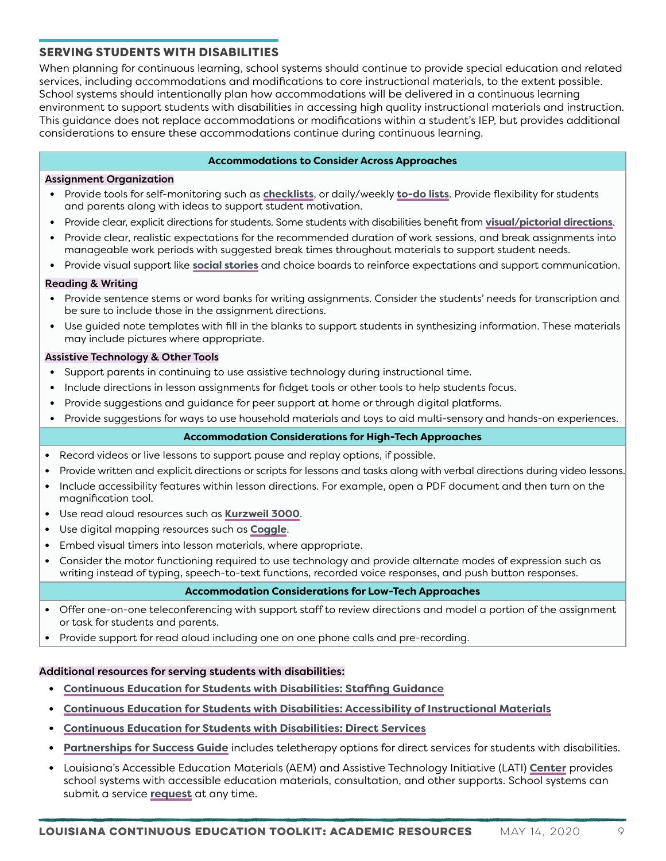## <span id="page-8-0"></span>SERVING STUDENTS WITH DISABILITIES

When planning for continuous learning, school systems should continue to provide special education and related services, including accommodations and modifications to core instructional materials, to the extent possible. School systems should intentionally plan how accommodations will be delivered in a continuous learning environment to support students with disabilities in accessing high quality instructional materials and instruction. This guidance does not replace accommodations or modifications within a student's IEP, but provides additional considerations to ensure these accommodations continue during continuous learning.

#### **Accommodations to Consider Across Approaches**

#### Assignment Organization

- **•** Provide tools for self-monitoring such as **[checklists](https://goalbookapp.com/toolkit/v/strategy/self-monitoring)**, or daily/weekly **[to-do lists](https://web.uri.edu/teachonline/the-power-of-to-do-lists/)**. Provide flexibility for students and parents along with ideas to support student motivation.
- **•** Provide clear, explicit directions for students. Some students with disabilities benefit from **[visual/pictorial directions](https://catapultlearning.com/2016/05/17/using-visual-supports-for-students-with-developmental-disabilities/)**.
- **•** Provide clear, realistic expectations for the recommended duration of work sessions, and break assignments into manageable work periods with suggested break times throughout materials to support student needs.
- **•** Provide visual support like **[social stories](http://www.researchautism.net/interventions/168/social-stories-and-autism?print=1)** and choice boards to reinforce expectations and support communication.

#### Reading & Writing

- **•** Provide sentence stems or word banks for writing assignments. Consider the students' needs for transcription and be sure to include those in the assignment directions.
- **•** Use guided note templates with fill in the blanks to support students in synthesizing information. These materials may include pictures where appropriate.

#### Assistive Technology & Other Tools

- **•** Support parents in continuing to use assistive technology during instructional time.
- **•** Include directions in lesson assignments for fidget tools or other tools to help students focus.
- **•** Provide suggestions and guidance for peer support at home or through digital platforms.
- **•** Provide suggestions for ways to use household materials and toys to aid multi-sensory and hands-on experiences.

#### **Accommodation Considerations for High-Tech Approaches**

- **•** Record videos or live lessons to support pause and replay options, if possible.
- **•** Provide written and explicit directions or scripts for lessons and tasks along with verbal directions during video lessons.
- **•** Include accessibility features within lesson directions. For example, open a PDF document and then turn on the magnification tool.
- **•** Use read aloud resources such as **[Kurzweil 3000](https://www.kurzweiledu.com/default.html)**.
- **•** Use digital mapping resources such as **[Coggle](https://chrome.google.com/webstore/detail/coggle-collaborative-mind/hbcapocoafbfccjgdgammadkndakcfoi?hl=en-GB)**.
- **•** Embed visual timers into lesson materials, where appropriate.
- **•** Consider the motor functioning required to use technology and provide alternate modes of expression such as writing instead of typing, speech-to-text functions, recorded voice responses, and push button responses.

#### **Accommodation Considerations for Low-Tech Approaches**

- **•** Offer one-on-one teleconferencing with support staff to review directions and model a portion of the assignment or task for students and parents.
- **•** Provide support for read aloud including one on one phone calls and pre-recording.

#### Additional resources for serving students with disabilities:

- **• [Continuous Education for Students with Disabilities: Staffing Guidance](https://www.louisianabelieves.com/docs/default-source/covid-19-resources/continuous-education-for-students-with-disabilities---staffing-guidance.pdf)**
- **• [Continuous Education for Students with Disabilities: Accessibility of Instructional Materials](https://www.louisianabelieves.com/docs/default-source/covid-19-resources/continuous-education-for-students-with-disabilities---accessibility-of-instructional-materials.pdf)**
- **• [Continuous Education for Students with Disabilities: Direct Services](https://www.louisianabelieves.com/docs/default-source/covid-19-resources/continuous-education-for-students-with-disabilities---direct-services.pdf)**
- **• [Partnerships for Success Guide](https://www.louisianabelieves.com/docs/default-source/students-with-disabilities/partnerships-for-success-guide.pdf)** includes teletherapy options for direct services for students with disabilities.
- **•** Louisiana's Accessible Education Materials (AEM) and Assistive Technology Initiative (LATI) **[Center](https://lsvi.org/related_services/limc)** provides school systems with accessible education materials, consultation, and other supports. School systems can submit a service **[request](https://docs.google.com/forms/d/1w22ZiPDccI_KoX1qLVAqFvlYOg6hPUS5bpRnX7X0J_M/viewform?edit_requested=true)** at any time.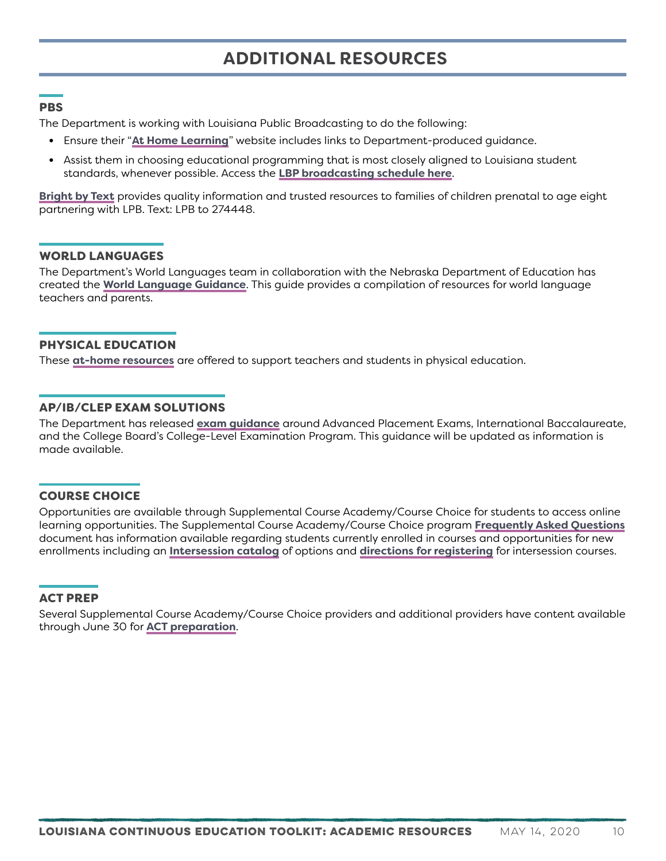# <span id="page-9-0"></span>**ADDITIONAL RESOURCES**

#### <span id="page-9-1"></span>PBS

The Department is working with Louisiana Public Broadcasting to do the following:

- **•** Ensure their "**[At Home Learning](https://www.lpb.org/education/home/at-home-learning)**" website includes links to Department-produced guidance.
- **•** Assist them in choosing educational programming that is most closely aligned to Louisiana student standards, whenever possible. Access the **[LBP broadcasting schedule here](https://www.lpb.org/schedule)**.

**[Bright by Text](https://www.lpb.org/education/home/bbt)** provides quality information and trusted resources to families of children prenatal to age eight partnering with LPB. Text: LPB to 274448.

#### <span id="page-9-2"></span>WORLD LANGUAGES

The Department's World Languages team in collaboration with the Nebraska Department of Education has created the **[World Language Guidance](https://www.louisianabelieves.com/docs/default-source/continuous-education/world-language-guidance.pdf?sfvrsn=781a9b1f_2)**. This guide provides a compilation of resources for world language teachers and parents.

#### <span id="page-9-3"></span>PHYSICAL EDUCATION

These **[at-home resources](https://www.louisianabelieves.com/docs/default-source/continuous-education/physical-education-resources.pdf?sfvrsn=791a9b1f_2)** are offered to support teachers and students in physical education.

#### <span id="page-9-4"></span>AP/IB/CLEP EXAM SOLUTIONS

The Department has released **[exam guidance](https://www.louisianabelieves.com/docs/default-source/louisiana-believes/exam-guidance-solutions.pdf?sfvrsn=3cee9b1f_2)** around Advanced Placement Exams, International Baccalaureate, and the College Board's College-Level Examination Program. This guidance will be updated as information is made available.

#### <span id="page-9-5"></span>COURSE CHOICE

Opportunities are available through Supplemental Course Academy/Course Choice for students to access online learning opportunities. The Supplemental Course Academy/Course Choice program **[Frequently Asked Questions](https://www.louisianabelieves.com/docs/default-source/louisiana-believes/sca-faq.pdf?sfvrsn=c2e59b1f_2)** document has information available regarding students currently enrolled in courses and opportunities for new enrollments including an **[Intersession catalog](https://www.louisianabelieves.com/docs/default-source/louisiana-believes/19-20_intersessionproviderdirectory.pdf?sfvrsn=c3e59b1f_2)** of options and **[directions for registering](https://www.louisianabelieves.com/docs/default-source/louisiana-believes/19-20_intersessionregistrationprocedures.pdf?sfvrsn=dce59b1f_2)** for intersession courses.

#### <span id="page-9-6"></span>ACT PREP

Several Supplemental Course Academy/Course Choice providers and additional providers have content available through June 30 for **[ACT preparation](https://www.louisianabelieves.com/docs/default-source/louisiana-believes/sca_act-providers_v2.pdf?sfvrsn=c7e59b1f_2)**.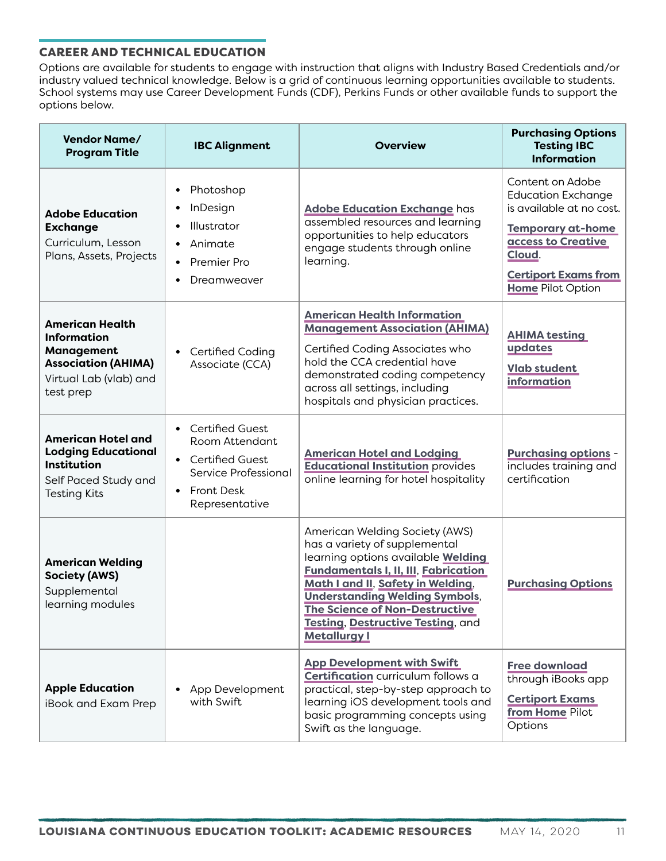## <span id="page-10-0"></span>CAREER AND TECHNICAL EDUCATION

Options are available for students to engage with instruction that aligns with Industry Based Credentials and/or industry valued technical knowledge. Below is a grid of continuous learning opportunities available to students. School systems may use Career Development Funds (CDF), Perkins Funds or other available funds to support the options below.

| <b>Vendor Name/</b><br><b>Program Title</b>                                                                                            | <b>IBC Alignment</b>                                                                                                                                        | <b>Overview</b>                                                                                                                                                                                                                                                                                                                                | <b>Purchasing Options</b><br><b>Testing IBC</b><br><b>Information</b>                                                                                                                            |
|----------------------------------------------------------------------------------------------------------------------------------------|-------------------------------------------------------------------------------------------------------------------------------------------------------------|------------------------------------------------------------------------------------------------------------------------------------------------------------------------------------------------------------------------------------------------------------------------------------------------------------------------------------------------|--------------------------------------------------------------------------------------------------------------------------------------------------------------------------------------------------|
| <b>Adobe Education</b><br><b>Exchange</b><br>Curriculum, Lesson<br>Plans, Assets, Projects                                             | Photoshop<br>InDesign<br>Illustrator<br>Animate<br>$\bullet$<br>Premier Pro<br>Dreamweaver                                                                  | <b>Adobe Education Exchange has</b><br>assembled resources and learning<br>opportunities to help educators<br>engage students through online<br>learning.                                                                                                                                                                                      | Content on Adobe<br><b>Education Exchange</b><br>is available at no cost.<br><b>Temporary at-home</b><br>access to Creative<br>Cloud.<br><b>Certiport Exams from</b><br><b>Home Pilot Option</b> |
| <b>American Health</b><br><b>Information</b><br><b>Management</b><br><b>Association (AHIMA)</b><br>Virtual Lab (vlab) and<br>test prep | Certified Coding<br>Associate (CCA)                                                                                                                         | <b>American Health Information</b><br><b>Management Association (AHIMA)</b><br>Certified Coding Associates who<br>hold the CCA credential have<br>demonstrated coding competency<br>across all settings, including<br>hospitals and physician practices.                                                                                       | <b>AHIMA testing</b><br>updates<br><b>Vlab student</b><br>information                                                                                                                            |
| <b>American Hotel and</b><br><b>Lodging Educational</b><br><b>Institution</b><br>Self Paced Study and<br><b>Testing Kits</b>           | <b>Certified Guest</b><br>Room Attendant<br><b>Certified Guest</b><br>$\bullet$<br>Service Professional<br><b>Front Desk</b><br>$\bullet$<br>Representative | <b>American Hotel and Lodging</b><br><b>Educational Institution provides</b><br>online learning for hotel hospitality                                                                                                                                                                                                                          | <b>Purchasing options -</b><br>includes training and<br>certification                                                                                                                            |
| <b>American Welding</b><br><b>Society (AWS)</b><br>Supplemental<br>learning modules                                                    |                                                                                                                                                             | American Welding Society (AWS)<br>has a variety of supplemental<br>learning options available <b>Welding</b><br><b>Fundamentals I, II, III, Fabrication</b><br>Math I and II, Safety in Welding,<br><b>Understanding Welding Symbols,</b><br>The Science of Non-Destructive<br><b>Testing, Destructive Testing, and</b><br><b>Metallurgy I</b> | <b>Purchasing Options</b>                                                                                                                                                                        |
| <b>Apple Education</b><br>iBook and Exam Prep                                                                                          | App Development<br>with Swift                                                                                                                               | <b>App Development with Swift</b><br>Certification curriculum follows a<br>practical, step-by-step approach to<br>learning iOS development tools and<br>basic programming concepts using<br>Swift as the language.                                                                                                                             | <b>Free download</b><br>through iBooks app<br><b>Certiport Exams</b><br>from Home Pilot<br>Options                                                                                               |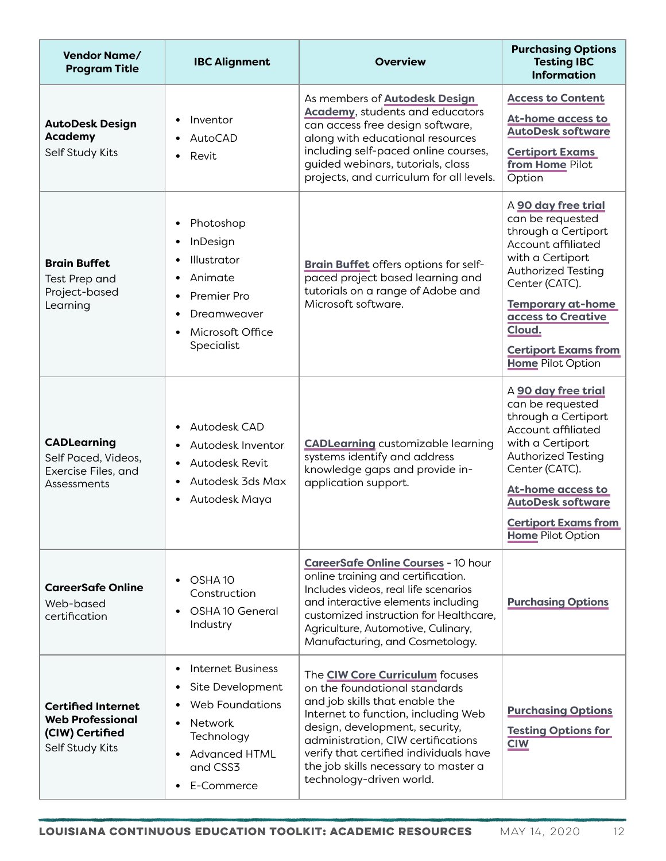| <b>Vendor Name/</b><br><b>Program Title</b>                                                | <b>IBC Alignment</b>                                                                                                                                                 | <b>Overview</b>                                                                                                                                                                                                                                                                                                                 | <b>Purchasing Options</b><br><b>Testing IBC</b><br><b>Information</b>                                                                                                                                                                                                          |
|--------------------------------------------------------------------------------------------|----------------------------------------------------------------------------------------------------------------------------------------------------------------------|---------------------------------------------------------------------------------------------------------------------------------------------------------------------------------------------------------------------------------------------------------------------------------------------------------------------------------|--------------------------------------------------------------------------------------------------------------------------------------------------------------------------------------------------------------------------------------------------------------------------------|
| <b>AutoDesk Design</b><br><b>Academy</b><br>Self Study Kits                                | Inventor<br>AutoCAD<br>Revit                                                                                                                                         | As members of <b>Autodesk Design</b><br><b>Academy</b> , students and educators<br>can access free design software,<br>along with educational resources<br>including self-paced online courses,<br>guided webinars, tutorials, class<br>projects, and curriculum for all levels.                                                | <b>Access to Content</b><br><b>At-home access to</b><br><b>AutoDesk software</b><br><b>Certiport Exams</b><br>from Home Pilot<br>Option                                                                                                                                        |
| <b>Brain Buffet</b><br>Test Prep and<br>Project-based<br>Learning                          | Photoshop<br>InDesign<br>Illustrator<br>Animate<br>$\bullet$<br>Premier Pro<br>Dreamweaver<br>Microsoft Office<br>Specialist                                         | Brain Buffet offers options for self-<br>paced project based learning and<br>tutorials on a range of Adobe and<br>Microsoft software.                                                                                                                                                                                           | A 90 day free trial<br>can be requested<br>through a Certiport<br>Account affiliated<br>with a Certiport<br><b>Authorized Testing</b><br>Center (CATC).<br><b>Temporary at-home</b><br>access to Creative<br>Cloud.<br><b>Certiport Exams from</b><br><b>Home Pilot Option</b> |
| <b>CADLearning</b><br>Self Paced, Videos,<br>Exercise Files, and<br>Assessments            | Autodesk CAD<br>Autodesk Inventor<br>Autodesk Revit<br>Autodesk 3ds Max<br>Autodesk Maya<br>٠                                                                        | <b>CADLearning</b> customizable learning<br>systems identify and address<br>knowledge gaps and provide in-<br>application support.                                                                                                                                                                                              | A 90 day free trial<br>can be requested<br>through a Certiport<br>Account affiliated<br>with a Certiport<br><b>Authorized Testing</b><br>Center (CATC).<br>At-home access to<br><b>AutoDesk software</b><br><b>Certiport Exams from</b><br><b>Home Pilot Option</b>            |
| <b>CareerSafe Online</b><br>Web-based<br>certification                                     | OSHA <sub>10</sub><br>Construction<br>OSHA 10 General<br>٠<br>Industry                                                                                               | <b>CareerSafe Online Courses - 10 hour</b><br>online training and certification.<br>Includes videos, real life scenarios<br>and interactive elements including<br>customized instruction for Healthcare,<br>Agriculture, Automotive, Culinary,<br>Manufacturing, and Cosmetology.                                               | <b>Purchasing Options</b>                                                                                                                                                                                                                                                      |
| <b>Certified Internet</b><br><b>Web Professional</b><br>(CIW) Certified<br>Self Study Kits | Internet Business<br>$\bullet$<br>Site Development<br><b>Web Foundations</b><br>Network<br>Technology<br><b>Advanced HTML</b><br>and CSS3<br>E-Commerce<br>$\bullet$ | The CIW Core Curriculum focuses<br>on the foundational standards<br>and job skills that enable the<br>Internet to function, including Web<br>design, development, security,<br>administration, CIW certifications<br>verify that certified individuals have<br>the job skills necessary to master a<br>technology-driven world. | <b>Purchasing Options</b><br><b>Testing Options for</b><br><b>CIW</b>                                                                                                                                                                                                          |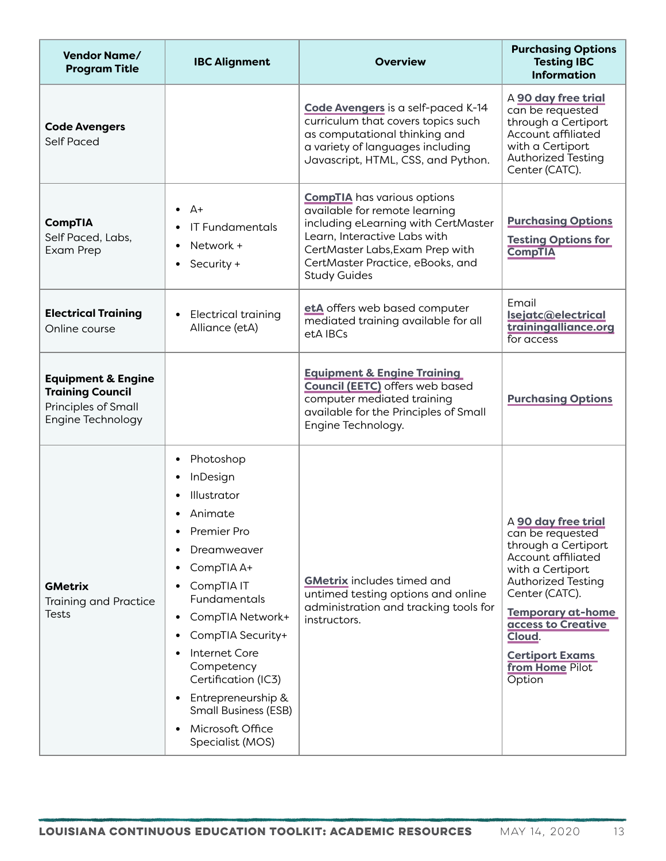| <b>Vendor Name/</b><br><b>Program Title</b>                                                          | <b>IBC Alignment</b>                                                                                                                                                                                                                                                                                                                 | <b>Overview</b>                                                                                                                                                                                                                          | <b>Purchasing Options</b><br><b>Testing IBC</b><br><b>Information</b>                                                                                                                                                                                                      |
|------------------------------------------------------------------------------------------------------|--------------------------------------------------------------------------------------------------------------------------------------------------------------------------------------------------------------------------------------------------------------------------------------------------------------------------------------|------------------------------------------------------------------------------------------------------------------------------------------------------------------------------------------------------------------------------------------|----------------------------------------------------------------------------------------------------------------------------------------------------------------------------------------------------------------------------------------------------------------------------|
| <b>Code Avengers</b><br><b>Self Paced</b>                                                            |                                                                                                                                                                                                                                                                                                                                      | Code Avengers is a self-paced K-14<br>curriculum that covers topics such<br>as computational thinking and<br>a variety of languages including<br>Javascript, HTML, CSS, and Python.                                                      | A 90 day free trial<br>can be requested<br>through a Certiport<br>Account affiliated<br>with a Certiport<br>Authorized Testing<br>Center (CATC).                                                                                                                           |
| <b>CompTIA</b><br>Self Paced, Labs,<br>Exam Prep                                                     | $\bullet$ $A+$<br><b>IT Fundamentals</b><br>Network +<br>Security +                                                                                                                                                                                                                                                                  | <b>CompTIA</b> has various options<br>available for remote learning<br>including eLearning with CertMaster<br>Learn, Interactive Labs with<br>CertMaster Labs, Exam Prep with<br>CertMaster Practice, eBooks, and<br><b>Study Guides</b> | <b>Purchasing Options</b><br><b>Testing Options for</b><br><b>CompTIA</b>                                                                                                                                                                                                  |
| <b>Electrical Training</b><br>Online course                                                          | Electrical training<br>Alliance (etA)                                                                                                                                                                                                                                                                                                | etA offers web based computer<br>mediated training available for all<br>etA IBCs                                                                                                                                                         | Email<br>Isejatc@electrical<br>trainingalliance.org<br>for access                                                                                                                                                                                                          |
| <b>Equipment &amp; Engine</b><br><b>Training Council</b><br>Principles of Small<br>Engine Technology |                                                                                                                                                                                                                                                                                                                                      | <b>Equipment &amp; Engine Training</b><br><b>Council (EETC)</b> offers web based<br>computer mediated training<br>available for the Principles of Small<br>Engine Technology.                                                            | <b>Purchasing Options</b>                                                                                                                                                                                                                                                  |
| <b>GMetrix</b><br><b>Training and Practice</b><br><b>Tests</b>                                       | Photoshop<br>InDesign<br>Illustrator<br>Animate<br>Premier Pro<br>٠<br>Dreamweaver<br>CompTIA A+<br>CompTIA IT<br>Fundamentals<br>CompTIA Network+<br>٠<br>CompTIA Security+<br>Internet Core<br>Competency<br>Certification (IC3)<br>Entrepreneurship &<br><b>Small Business (ESB)</b><br>Microsoft Office<br>٠<br>Specialist (MOS) | <b>GMetrix</b> includes timed and<br>untimed testing options and online<br>administration and tracking tools for<br>instructors.                                                                                                         | A 90 day free trial<br>can be requested<br>through a Certiport<br>Account affiliated<br>with a Certiport<br><b>Authorized Testing</b><br>Center (CATC).<br><b>Temporary at-home</b><br>access to Creative<br>Cloud.<br><b>Certiport Exams</b><br>from Home Pilot<br>Option |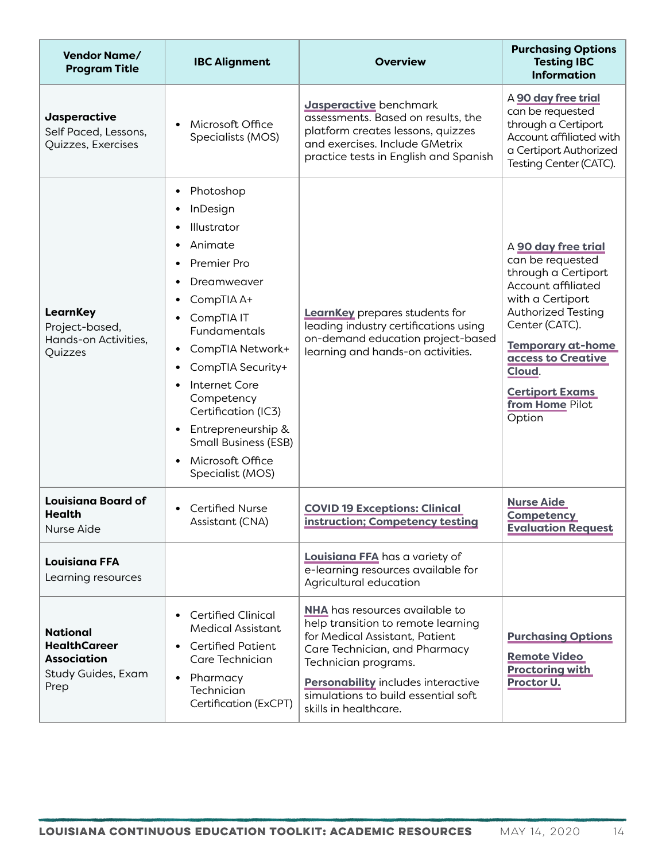| <b>Vendor Name/</b><br><b>Program Title</b>                                                | <b>IBC Alignment</b>                                                                                                                                                                                                                                                                                                  | <b>Overview</b>                                                                                                                                                                                                                                                              | <b>Purchasing Options</b><br><b>Testing IBC</b><br><b>Information</b>                                                                                                                                                                                                      |
|--------------------------------------------------------------------------------------------|-----------------------------------------------------------------------------------------------------------------------------------------------------------------------------------------------------------------------------------------------------------------------------------------------------------------------|------------------------------------------------------------------------------------------------------------------------------------------------------------------------------------------------------------------------------------------------------------------------------|----------------------------------------------------------------------------------------------------------------------------------------------------------------------------------------------------------------------------------------------------------------------------|
| Jasperactive<br>Self Paced, Lessons,<br>Quizzes, Exercises                                 | Microsoft Office<br>Specialists (MOS)                                                                                                                                                                                                                                                                                 | Jasperactive benchmark<br>assessments. Based on results, the<br>platform creates lessons, quizzes<br>and exercises. Include GMetrix<br>practice tests in English and Spanish                                                                                                 | A 90 day free trial<br>can be requested<br>through a Certiport<br>Account affiliated with<br>a Certiport Authorized<br>Testing Center (CATC).                                                                                                                              |
| <b>LearnKey</b><br>Project-based,<br>Hands-on Activities,<br>Quizzes                       | Photoshop<br>InDesign<br>Illustrator<br>Animate<br>Premier Pro<br>Dreamweaver<br>CompTIA A+<br>CompTIA IT<br>Fundamentals<br>CompTIA Network+<br>CompTIA Security+<br>Internet Core<br>Competency<br>Certification (IC3)<br>Entrepreneurship &<br><b>Small Business (ESB)</b><br>Microsoft Office<br>Specialist (MOS) | <b>LearnKey</b> prepares students for<br>leading industry certifications using<br>on-demand education project-based<br>learning and hands-on activities.                                                                                                                     | A 90 day free trial<br>can be requested<br>through a Certiport<br>Account affiliated<br>with a Certiport<br><b>Authorized Testing</b><br>Center (CATC).<br><b>Temporary at-home</b><br>access to Creative<br>Cloud.<br><b>Certiport Exams</b><br>from Home Pilot<br>Option |
| <b>Louisiana Board of</b><br>Health<br>Nurse Aide                                          | <b>Certified Nurse</b><br>Assistant (CNA)                                                                                                                                                                                                                                                                             | <b>COVID 19 Exceptions: Clinical</b><br>instruction; Competency testing                                                                                                                                                                                                      | <b>Nurse Aide</b><br><b>Competency</b><br><b>Evaluation Request</b>                                                                                                                                                                                                        |
| <b>Louisiana FFA</b><br>Learning resources                                                 |                                                                                                                                                                                                                                                                                                                       | Louisiana FFA has a variety of<br>e-learning resources available for<br>Agricultural education                                                                                                                                                                               |                                                                                                                                                                                                                                                                            |
| <b>National</b><br><b>HealthCareer</b><br><b>Association</b><br>Study Guides, Exam<br>Prep | <b>Certified Clinical</b><br><b>Medical Assistant</b><br><b>Certified Patient</b><br>Care Technician<br>Pharmacy<br>Technician<br>Certification (ExCPT)                                                                                                                                                               | <b>NHA</b> has resources available to<br>help transition to remote learning<br>for Medical Assistant, Patient<br>Care Technician, and Pharmacy<br>Technician programs.<br>Personability includes interactive<br>simulations to build essential soft<br>skills in healthcare. | <b>Purchasing Options</b><br><b>Remote Video</b><br><b>Proctoring with</b><br>Proctor U.                                                                                                                                                                                   |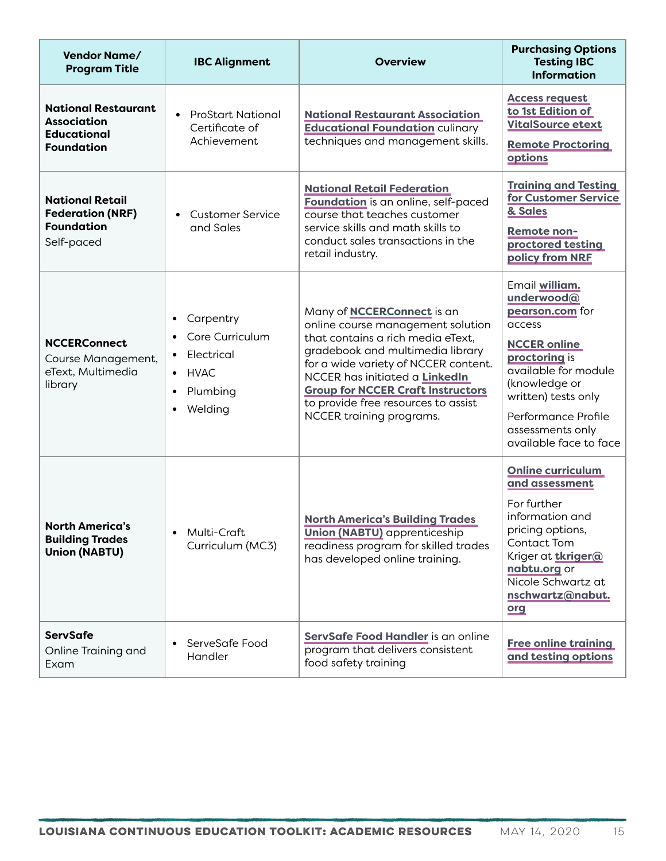| <b>Vendor Name/</b><br><b>Program Title</b>                                                 | <b>IBC Alignment</b>                                                                                                                    | <b>Overview</b>                                                                                                                                                                                                                                                                                                                          | <b>Purchasing Options</b><br><b>Testing IBC</b><br><b>Information</b>                                                                                                                                                                  |
|---------------------------------------------------------------------------------------------|-----------------------------------------------------------------------------------------------------------------------------------------|------------------------------------------------------------------------------------------------------------------------------------------------------------------------------------------------------------------------------------------------------------------------------------------------------------------------------------------|----------------------------------------------------------------------------------------------------------------------------------------------------------------------------------------------------------------------------------------|
| <b>National Restaurant</b><br><b>Association</b><br><b>Educational</b><br><b>Foundation</b> | <b>ProStart National</b><br>Certificate of<br>Achievement                                                                               | <b>National Restaurant Association</b><br><b>Educational Foundation culinary</b><br>techniques and management skills.                                                                                                                                                                                                                    | <b>Access request</b><br>to 1st Edition of<br><b>VitalSource etext</b><br><b>Remote Proctoring</b><br>options                                                                                                                          |
| <b>National Retail</b><br><b>Federation (NRF)</b><br><b>Foundation</b><br>Self-paced        | Customer Service<br>and Sales                                                                                                           | <b>National Retail Federation</b><br>Foundation is an online, self-paced<br>course that teaches customer<br>service skills and math skills to<br>conduct sales transactions in the<br>retail industry.                                                                                                                                   | <b>Training and Testing</b><br>for Customer Service<br>& Sales<br>Remote non-<br>proctored testing<br>policy from NRF                                                                                                                  |
| <b>NCCERConnect</b><br>Course Management,<br>eText, Multimedia<br>library                   | Carpentry<br>$\bullet$<br>Core Curriculum<br>$\bullet$<br>Electrical<br>$\bullet$<br>$\bullet$ HVAC<br>Plumbing<br>Welding<br>$\bullet$ | Many of <b>NCCERConnect</b> is an<br>online course management solution<br>that contains a rich media eText.<br>gradebook and multimedia library<br>for a wide variety of NCCER content.<br>NCCER has initiated a LinkedIn<br><b>Group for NCCER Craft Instructors</b><br>to provide free resources to assist<br>NCCER training programs. | Email william.<br>underwood@<br>pearson.com for<br>access<br><b>NCCER online</b><br>proctoring is<br>available for module<br>(knowledge or<br>written) tests only<br>Performance Profile<br>assessments only<br>available face to face |
| <b>North America's</b><br><b>Building Trades</b><br><b>Union (NABTU)</b>                    | Multi-Craft<br>$\bullet$<br>Curriculum (MC3)                                                                                            | <b>North America's Building Trades</b><br><b>Union (NABTU)</b> apprenticeship<br>readiness program for skilled trades<br>has developed online training.                                                                                                                                                                                  | <b>Online curriculum</b><br>and assessment<br>For further<br>information and<br>pricing options,<br>Contact Tom<br>Kriger at tkriger@<br>nabtu.org or<br>Nicole Schwartz at<br>nschwartz@nabut.<br>org                                 |
| <b>ServSafe</b><br>Online Training and<br>Exam                                              | ServeSafe Food<br>$\bullet$<br>Handler                                                                                                  | ServSafe Food Handler is an online<br>program that delivers consistent<br>food safety training                                                                                                                                                                                                                                           | <b>Free online training</b><br>and testing options                                                                                                                                                                                     |